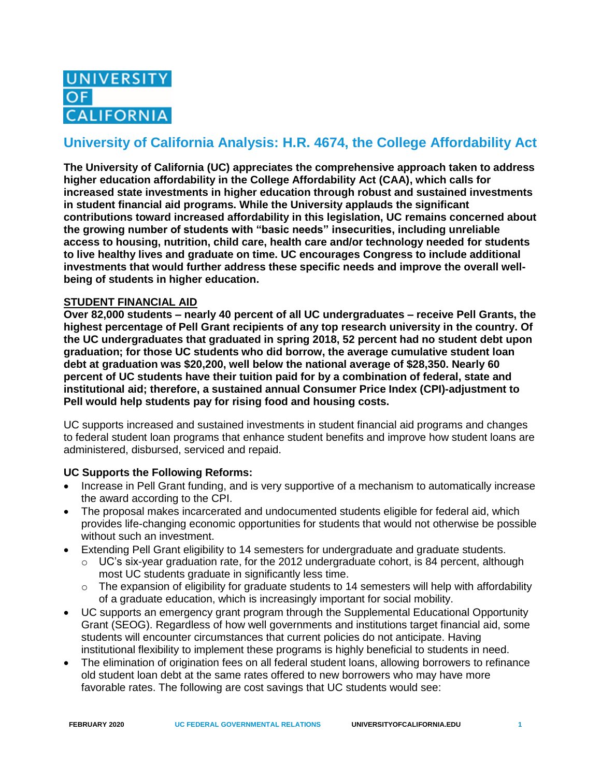

# **University of California Analysis: H.R. 4674, the College Affordability Act**

**The University of California (UC) appreciates the comprehensive approach taken to address higher education affordability in the College Affordability Act (CAA), which calls for increased state investments in higher education through robust and sustained investments in student financial aid programs. While the University applauds the significant contributions toward increased affordability in this legislation, UC remains concerned about the growing number of students with "basic needs" insecurities, including unreliable access to housing, nutrition, child care, health care and/or technology needed for students to live healthy lives and graduate on time. UC encourages Congress to include additional investments that would further address these specific needs and improve the overall wellbeing of students in higher education.**

# **STUDENT FINANCIAL AID**

**Over 82,000 students – nearly 40 percent of all UC undergraduates – receive Pell Grants, the highest percentage of Pell Grant recipients of any top research university in the country. Of the UC undergraduates that graduated in spring 2018, 52 percent had no student debt upon graduation; for those UC students who did borrow, the average cumulative student loan debt at graduation was \$20,200, well below the national average of \$28,350. Nearly 60 percent of UC students have their tuition paid for by a combination of federal, state and institutional aid; therefore, a sustained annual Consumer Price Index (CPI)-adjustment to Pell would help students pay for rising food and housing costs.**

UC supports increased and sustained investments in student financial aid programs and changes to federal student loan programs that enhance student benefits and improve how student loans are administered, disbursed, serviced and repaid.

# **UC Supports the Following Reforms:**

- Increase in Pell Grant funding, and is very supportive of a mechanism to automatically increase the award according to the CPI.
- The proposal makes incarcerated and undocumented students eligible for federal aid, which provides life-changing economic opportunities for students that would not otherwise be possible without such an investment.
- Extending Pell Grant eligibility to 14 semesters for undergraduate and graduate students.
	- $\circ$  UC's six-year graduation rate, for the 2012 undergraduate cohort, is 84 percent, although most UC students graduate in significantly less time.
	- $\circ$  The expansion of eligibility for graduate students to 14 semesters will help with affordability of a graduate education, which is increasingly important for social mobility.
- UC supports an emergency grant program through the Supplemental Educational Opportunity Grant (SEOG). Regardless of how well governments and institutions target financial aid, some students will encounter circumstances that current policies do not anticipate. Having institutional flexibility to implement these programs is highly beneficial to students in need.
- The elimination of origination fees on all federal student loans, allowing borrowers to refinance old student loan debt at the same rates offered to new borrowers who may have more favorable rates. The following are cost savings that UC students would see: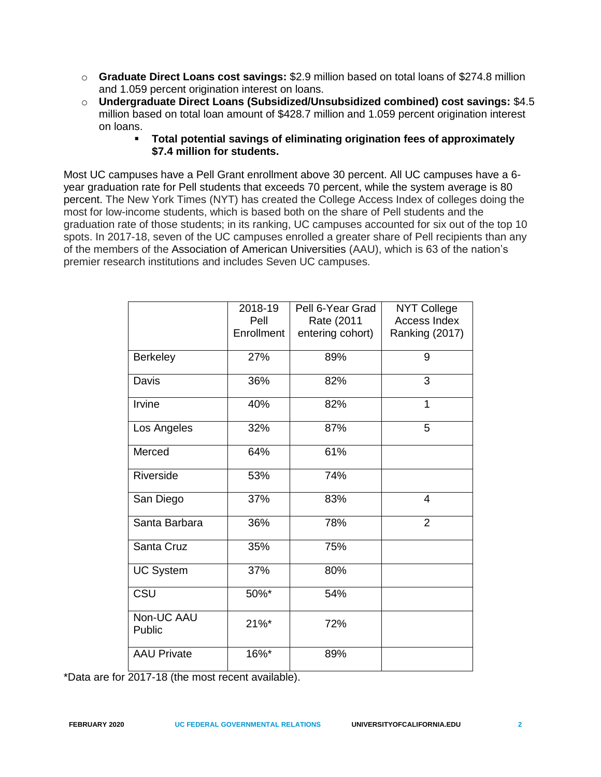- o **Graduate Direct Loans cost savings:** \$2.9 million based on total loans of \$274.8 million and 1.059 percent origination interest on loans.
- o **Undergraduate Direct Loans (Subsidized/Unsubsidized combined) cost savings:** \$4.5 million based on total loan amount of \$428.7 million and 1.059 percent origination interest on loans.
	- **Total potential savings of eliminating origination fees of approximately \$7.4 million for students.**

Most UC campuses have a Pell Grant enrollment above 30 percent. All UC campuses have a 6 year graduation rate for Pell students that exceeds 70 percent, while the system average is 80 percent. The New York Times (NYT) has created the College Access Index of colleges doing the most for low-income students, which is based both on the share of Pell students and the graduation rate of those students; in its ranking, UC campuses accounted for six out of the top 10 spots. In 2017-18, seven of the UC campuses enrolled a greater share of Pell recipients than any of the members of the Association of American Universities (AAU), which is 63 of the nation's premier research institutions and includes Seven UC campuses.

|                      | 2018-19<br>Pell<br>Enrollment | Pell 6-Year Grad<br>Rate (2011<br>entering cohort) | <b>NYT College</b><br>Access Index<br>Ranking (2017) |
|----------------------|-------------------------------|----------------------------------------------------|------------------------------------------------------|
| <b>Berkeley</b>      | 27%                           | 89%                                                | 9                                                    |
| Davis                | 36%                           | 82%                                                | 3                                                    |
| Irvine               | 40%                           | 82%                                                | 1                                                    |
| Los Angeles          | 32%                           | 87%                                                | 5                                                    |
| Merced               | 64%                           | 61%                                                |                                                      |
| Riverside            | 53%                           | 74%                                                |                                                      |
| San Diego            | 37%                           | 83%                                                | $\overline{4}$                                       |
| Santa Barbara        | 36%                           | 78%                                                | $\overline{2}$                                       |
| Santa Cruz           | 35%                           | 75%                                                |                                                      |
| <b>UC System</b>     | 37%                           | 80%                                                |                                                      |
| CSU                  | 50%*                          | 54%                                                |                                                      |
| Non-UC AAU<br>Public | $21\%$ *                      | 72%                                                |                                                      |
| <b>AAU Private</b>   | 16%*                          | 89%                                                |                                                      |

\*Data are for 2017-18 (the most recent available).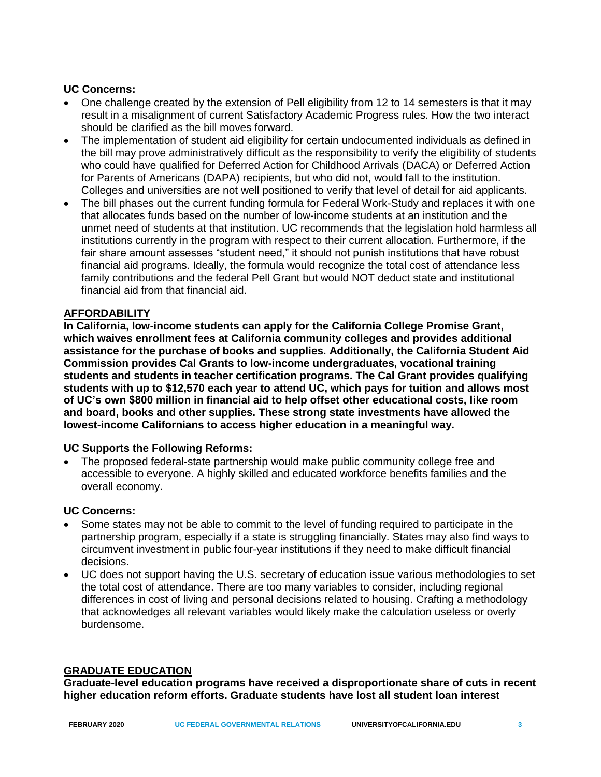# **UC Concerns:**

- One challenge created by the extension of Pell eligibility from 12 to 14 semesters is that it may result in a misalignment of current Satisfactory Academic Progress rules. How the two interact should be clarified as the bill moves forward.
- The implementation of student aid eligibility for certain undocumented individuals as defined in the bill may prove administratively difficult as the responsibility to verify the eligibility of students who could have qualified for Deferred Action for Childhood Arrivals (DACA) or Deferred Action for Parents of Americans (DAPA) recipients, but who did not, would fall to the institution. Colleges and universities are not well positioned to verify that level of detail for aid applicants.
- The bill phases out the current funding formula for Federal Work-Study and replaces it with one that allocates funds based on the number of low-income students at an institution and the unmet need of students at that institution. UC recommends that the legislation hold harmless all institutions currently in the program with respect to their current allocation. Furthermore, if the fair share amount assesses "student need," it should not punish institutions that have robust financial aid programs. Ideally, the formula would recognize the total cost of attendance less family contributions and the federal Pell Grant but would NOT deduct state and institutional financial aid from that financial aid.

#### **AFFORDABILITY**

**In California, low-income students can apply for the California College Promise Grant, which waives enrollment fees at California community colleges and provides additional assistance for the purchase of books and supplies. Additionally, the California Student Aid Commission provides Cal Grants to low-income undergraduates, vocational training students and students in teacher certification programs. The Cal Grant provides qualifying students with up to \$12,570 each year to attend UC, which pays for tuition and allows most of UC's own \$800 million in financial aid to help offset other educational costs, like room and board, books and other supplies. These strong state investments have allowed the lowest-income Californians to access higher education in a meaningful way.**

# **UC Supports the Following Reforms:**

• The proposed federal-state partnership would make public community college free and accessible to everyone. A highly skilled and educated workforce benefits families and the overall economy.

#### **UC Concerns:**

- Some states may not be able to commit to the level of funding required to participate in the partnership program, especially if a state is struggling financially. States may also find ways to circumvent investment in public four-year institutions if they need to make difficult financial decisions.
- UC does not support having the U.S. secretary of education issue various methodologies to set the total cost of attendance. There are too many variables to consider, including regional differences in cost of living and personal decisions related to housing. Crafting a methodology that acknowledges all relevant variables would likely make the calculation useless or overly burdensome.

# **GRADUATE EDUCATION**

**Graduate-level education programs have received a disproportionate share of cuts in recent higher education reform efforts. Graduate students have lost all student loan interest**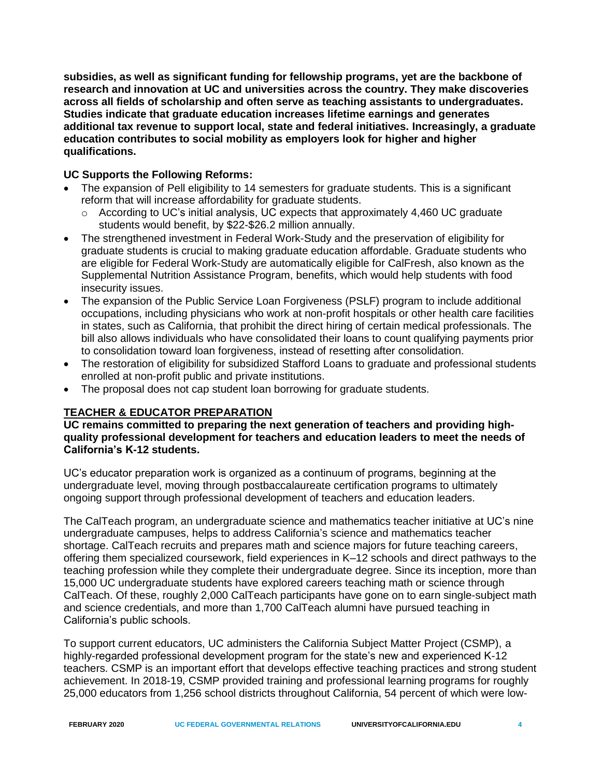**subsidies, as well as significant funding for fellowship programs, yet are the backbone of research and innovation at UC and universities across the country. They make discoveries across all fields of scholarship and often serve as teaching assistants to undergraduates. Studies indicate that graduate education increases lifetime earnings and generates additional tax revenue to support local, state and federal initiatives. Increasingly, a graduate education contributes to social mobility as employers look for higher and higher qualifications.** 

# **UC Supports the Following Reforms:**

- The expansion of Pell eligibility to 14 semesters for graduate students. This is a significant reform that will increase affordability for graduate students.
	- $\circ$  According to UC's initial analysis, UC expects that approximately 4,460 UC graduate students would benefit, by \$22-\$26.2 million annually.
- The strengthened investment in Federal Work-Study and the preservation of eligibility for graduate students is crucial to making graduate education affordable. Graduate students who are eligible for Federal Work-Study are automatically eligible for CalFresh, also known as the Supplemental Nutrition Assistance Program, benefits, which would help students with food insecurity issues.
- The expansion of the Public Service Loan Forgiveness (PSLF) program to include additional occupations, including physicians who work at non-profit hospitals or other health care facilities in states, such as California, that prohibit the direct hiring of certain medical professionals. The bill also allows individuals who have consolidated their loans to count qualifying payments prior to consolidation toward loan forgiveness, instead of resetting after consolidation.
- The restoration of eligibility for subsidized Stafford Loans to graduate and professional students enrolled at non-profit public and private institutions.
- The proposal does not cap student loan borrowing for graduate students.

# **TEACHER & EDUCATOR PREPARATION**

**UC remains committed to preparing the next generation of teachers and providing highquality professional development for teachers and education leaders to meet the needs of California's K-12 students.** 

UC's educator preparation work is organized as a continuum of programs, beginning at the undergraduate level, moving through postbaccalaureate certification programs to ultimately ongoing support through professional development of teachers and education leaders.

The CalTeach program, an undergraduate science and mathematics teacher initiative at UC's nine undergraduate campuses, helps to address California's science and mathematics teacher shortage. CalTeach recruits and prepares math and science majors for future teaching careers, offering them specialized coursework, field experiences in K–12 schools and direct pathways to the teaching profession while they complete their undergraduate degree. Since its inception, more than 15,000 UC undergraduate students have explored careers teaching math or science through CalTeach. Of these, roughly 2,000 CalTeach participants have gone on to earn single-subject math and science credentials, and more than 1,700 CalTeach alumni have pursued teaching in California's public schools.

To support current educators, UC administers the California Subject Matter Project (CSMP), a highly-regarded professional development program for the state's new and experienced K-12 teachers. CSMP is an important effort that develops effective teaching practices and strong student achievement. In 2018-19, CSMP provided training and professional learning programs for roughly 25,000 educators from 1,256 school districts throughout California, 54 percent of which were low-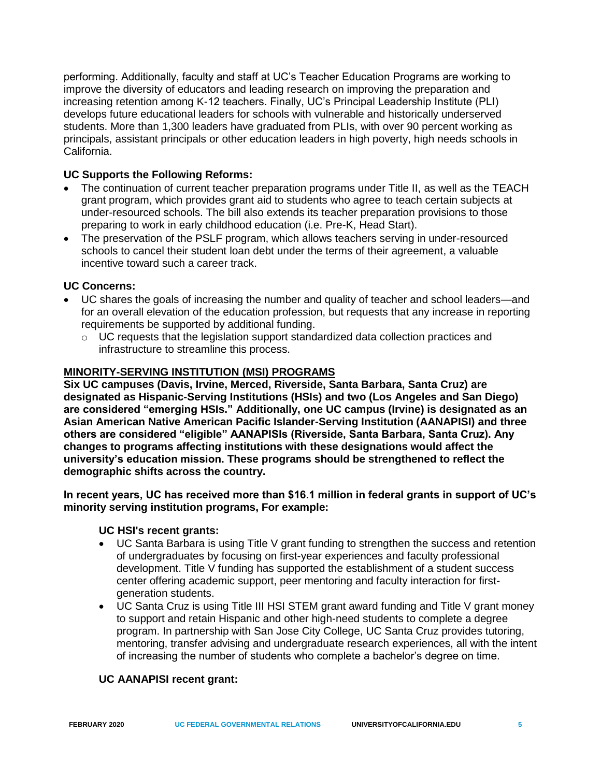performing. Additionally, faculty and staff at UC's Teacher Education Programs are working to improve the diversity of educators and leading research on improving the preparation and increasing retention among K-12 teachers. Finally, UC's Principal Leadership Institute (PLI) develops future educational leaders for schools with vulnerable and historically underserved students. More than 1,300 leaders have graduated from PLIs, with over 90 percent working as principals, assistant principals or other education leaders in high poverty, high needs schools in California.

# **UC Supports the Following Reforms:**

- The continuation of current teacher preparation programs under Title II, as well as the TEACH grant program, which provides grant aid to students who agree to teach certain subjects at under-resourced schools. The bill also extends its teacher preparation provisions to those preparing to work in early childhood education (i.e. Pre-K, Head Start).
- The preservation of the PSLF program, which allows teachers serving in under-resourced schools to cancel their student loan debt under the terms of their agreement, a valuable incentive toward such a career track.

#### **UC Concerns:**

- UC shares the goals of increasing the number and quality of teacher and school leaders—and for an overall elevation of the education profession, but requests that any increase in reporting requirements be supported by additional funding.
	- $\circ$  UC requests that the legislation support standardized data collection practices and infrastructure to streamline this process.

#### **MINORITY-SERVING INSTITUTION (MSI) PROGRAMS**

**Six UC campuses (Davis, Irvine, Merced, Riverside, Santa Barbara, Santa Cruz) are designated as Hispanic-Serving Institutions (HSIs) and two (Los Angeles and San Diego) are considered "emerging HSIs." Additionally, one UC campus (Irvine) is designated as an Asian American Native American Pacific Islander-Serving Institution (AANAPISI) and three others are considered "eligible" AANAPISIs (Riverside, Santa Barbara, Santa Cruz). Any changes to programs affecting institutions with these designations would affect the university's education mission. These programs should be strengthened to reflect the demographic shifts across the country.** 

**In recent years, UC has received more than \$16.1 million in federal grants in support of UC's minority serving institution programs, For example:**

#### **UC HSI's recent grants:**

- UC Santa Barbara is using Title V grant funding to strengthen the success and retention of undergraduates by focusing on first-year experiences and faculty professional development. Title V funding has supported the establishment of a student success center offering academic support, peer mentoring and faculty interaction for firstgeneration students.
- UC Santa Cruz is using Title III HSI STEM grant award funding and Title V grant money to support and retain Hispanic and other high-need students to complete a degree program. In partnership with San Jose City College, UC Santa Cruz provides tutoring, mentoring, transfer advising and undergraduate research experiences, all with the intent of increasing the number of students who complete a bachelor's degree on time.

#### **UC AANAPISI recent grant:**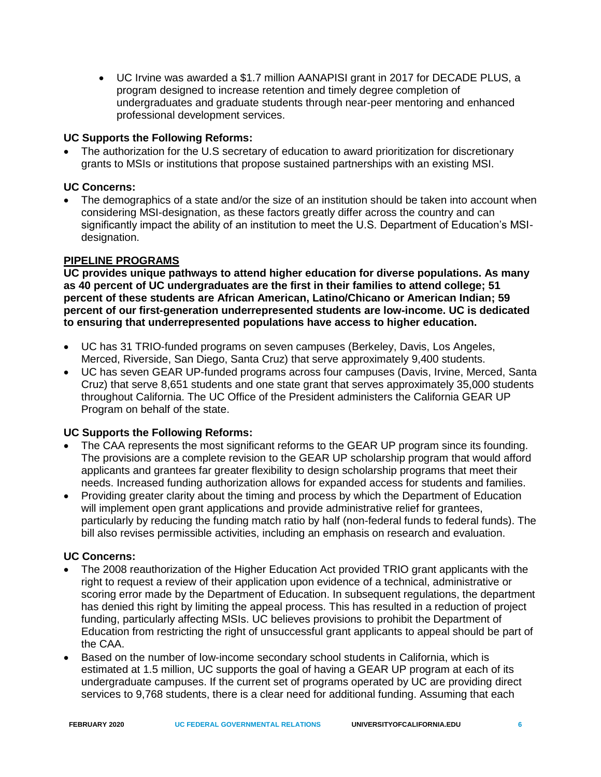• UC Irvine was awarded a \$1.7 million AANAPISI grant in 2017 for DECADE PLUS, a program designed to increase retention and timely degree completion of undergraduates and graduate students through near-peer mentoring and enhanced professional development services.

# **UC Supports the Following Reforms:**

• The authorization for the U.S secretary of education to award prioritization for discretionary grants to MSIs or institutions that propose sustained partnerships with an existing MSI.

# **UC Concerns:**

• The demographics of a state and/or the size of an institution should be taken into account when considering MSI-designation, as these factors greatly differ across the country and can significantly impact the ability of an institution to meet the U.S. Department of Education's MSIdesignation.

# **PIPELINE PROGRAMS**

**UC provides unique pathways to attend higher education for diverse populations. As many as 40 percent of UC undergraduates are the first in their families to attend college; 51 percent of these students are African American, Latino/Chicano or American Indian; 59 percent of our first-generation underrepresented students are low-income. UC is dedicated to ensuring that underrepresented populations have access to higher education.**

- UC has 31 TRIO-funded programs on seven campuses (Berkeley, Davis, Los Angeles, Merced, Riverside, San Diego, Santa Cruz) that serve approximately 9,400 students.
- UC has seven GEAR UP-funded programs across four campuses (Davis, Irvine, Merced, Santa Cruz) that serve 8,651 students and one state grant that serves approximately 35,000 students throughout California. The UC Office of the President administers the California GEAR UP Program on behalf of the state.

# **UC Supports the Following Reforms:**

- The CAA represents the most significant reforms to the GEAR UP program since its founding. The provisions are a complete revision to the GEAR UP scholarship program that would afford applicants and grantees far greater flexibility to design scholarship programs that meet their needs. Increased funding authorization allows for expanded access for students and families.
- Providing greater clarity about the timing and process by which the Department of Education will implement open grant applications and provide administrative relief for grantees, particularly by reducing the funding match ratio by half (non-federal funds to federal funds). The bill also revises permissible activities, including an emphasis on research and evaluation.

# **UC Concerns:**

- The 2008 reauthorization of the Higher Education Act provided TRIO grant applicants with the right to request a review of their application upon evidence of a technical, administrative or scoring error made by the Department of Education. In subsequent regulations, the department has denied this right by limiting the appeal process. This has resulted in a reduction of project funding, particularly affecting MSIs. UC believes provisions to prohibit the Department of Education from restricting the right of unsuccessful grant applicants to appeal should be part of the CAA.
- Based on the number of low-income secondary school students in California, which is estimated at 1.5 million, UC supports the goal of having a GEAR UP program at each of its undergraduate campuses. If the current set of programs operated by UC are providing direct services to 9,768 students, there is a clear need for additional funding. Assuming that each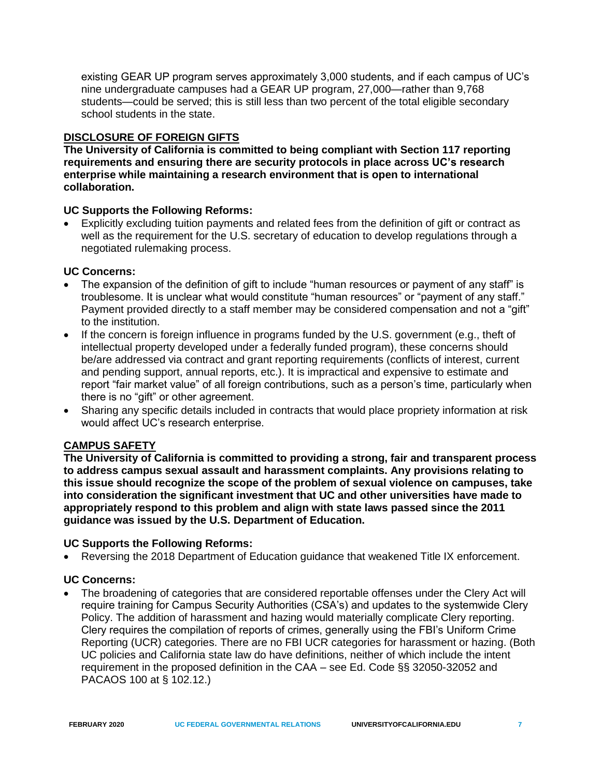existing GEAR UP program serves approximately 3,000 students, and if each campus of UC's nine undergraduate campuses had a GEAR UP program, 27,000—rather than 9,768 students—could be served; this is still less than two percent of the total eligible secondary school students in the state.

# **DISCLOSURE OF FOREIGN GIFTS**

**The University of California is committed to being compliant with Section 117 reporting requirements and ensuring there are security protocols in place across UC's research enterprise while maintaining a research environment that is open to international collaboration.** 

# **UC Supports the Following Reforms:**

• Explicitly excluding tuition payments and related fees from the definition of gift or contract as well as the requirement for the U.S. secretary of education to develop regulations through a negotiated rulemaking process.

# **UC Concerns:**

- The expansion of the definition of gift to include "human resources or payment of any staff" is troublesome. It is unclear what would constitute "human resources" or "payment of any staff." Payment provided directly to a staff member may be considered compensation and not a "gift" to the institution.
- If the concern is foreign influence in programs funded by the U.S. government (e.g., theft of intellectual property developed under a federally funded program), these concerns should be/are addressed via contract and grant reporting requirements (conflicts of interest, current and pending support, annual reports, etc.). It is impractical and expensive to estimate and report "fair market value" of all foreign contributions, such as a person's time, particularly when there is no "gift" or other agreement.
- Sharing any specific details included in contracts that would place propriety information at risk would affect UC's research enterprise.

# **CAMPUS SAFETY**

**The University of California is committed to providing a strong, fair and transparent process to address campus sexual assault and harassment complaints. Any provisions relating to this issue should recognize the scope of the problem of sexual violence on campuses, take into consideration the significant investment that UC and other universities have made to appropriately respond to this problem and align with state laws passed since the 2011 guidance was issued by the U.S. Department of Education.**

# **UC Supports the Following Reforms:**

• Reversing the 2018 Department of Education guidance that weakened Title IX enforcement.

# **UC Concerns:**

• The broadening of categories that are considered reportable offenses under the Clery Act will require training for Campus Security Authorities (CSA's) and updates to the systemwide Clery Policy. The addition of harassment and hazing would materially complicate Clery reporting. Clery requires the compilation of reports of crimes, generally using the FBI's Uniform Crime Reporting (UCR) categories. There are no FBI UCR categories for harassment or hazing. (Both UC policies and California state law do have definitions, neither of which include the intent requirement in the proposed definition in the CAA – see Ed. Code §§ 32050-32052 and PACAOS 100 at § 102.12.)